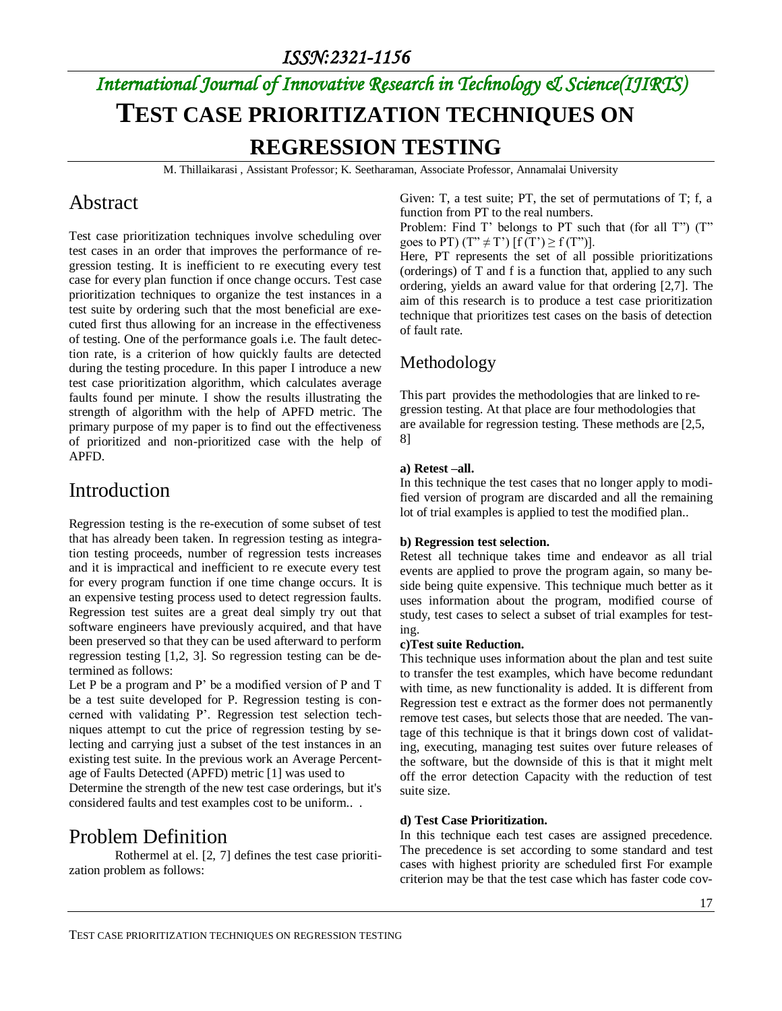# *International Journal of Innovative Research in Technology & Science(IJIRTS)* **TEST CASE PRIORITIZATION TECHNIQUES ON REGRESSION TESTING**

M. Thillaikarasi , Assistant Professor; K. Seetharaman, Associate Professor, Annamalai University

### Abstract

Test case prioritization techniques involve scheduling over test cases in an order that improves the performance of regression testing. It is inefficient to re executing every test case for every plan function if once change occurs. Test case prioritization techniques to organize the test instances in a test suite by ordering such that the most beneficial are executed first thus allowing for an increase in the effectiveness of testing. One of the performance goals i.e. The fault detection rate, is a criterion of how quickly faults are detected during the testing procedure. In this paper I introduce a new test case prioritization algorithm, which calculates average faults found per minute. I show the results illustrating the strength of algorithm with the help of APFD metric. The primary purpose of my paper is to find out the effectiveness of prioritized and non-prioritized case with the help of APFD.

#### Introduction

Regression testing is the re-execution of some subset of test that has already been taken. In regression testing as integration testing proceeds, number of regression tests increases and it is impractical and inefficient to re execute every test for every program function if one time change occurs. It is an expensive testing process used to detect regression faults. Regression test suites are a great deal simply try out that software engineers have previously acquired, and that have been preserved so that they can be used afterward to perform regression testing [1,2, 3]. So regression testing can be determined as follows:

Let P be a program and P' be a modified version of P and T be a test suite developed for P. Regression testing is concerned with validating P'. Regression test selection techniques attempt to cut the price of regression testing by selecting and carrying just a subset of the test instances in an existing test suite. In the previous work an Average Percentage of Faults Detected (APFD) metric [1] was used to

Determine the strength of the new test case orderings, but it's considered faults and test examples cost to be uniform.. .

# Problem Definition

Rothermel at el. [2, 7] defines the test case prioritization problem as follows:

Given: T, a test suite; PT, the set of permutations of T; f, a function from PT to the real numbers.

Problem: Find T' belongs to PT such that (for all T") (T" goes to PT)  $(T'' \neq T')$   $[f(T') \geq f(T'')]$ .

Here, PT represents the set of all possible prioritizations (orderings) of T and f is a function that, applied to any such ordering, yields an award value for that ordering [2,7]. The aim of this research is to produce a test case prioritization technique that prioritizes test cases on the basis of detection of fault rate.

#### Methodology

This part provides the methodologies that are linked to regression testing. At that place are four methodologies that are available for regression testing. These methods are [2,5, 8]

#### **a) Retest –all.**

In this technique the test cases that no longer apply to modified version of program are discarded and all the remaining lot of trial examples is applied to test the modified plan..

#### **b) Regression test selection.**

Retest all technique takes time and endeavor as all trial events are applied to prove the program again, so many beside being quite expensive. This technique much better as it uses information about the program, modified course of study, test cases to select a subset of trial examples for testing.

#### **c)Test suite Reduction.**

This technique uses information about the plan and test suite to transfer the test examples, which have become redundant with time, as new functionality is added. It is different from Regression test e extract as the former does not permanently remove test cases, but selects those that are needed. The vantage of this technique is that it brings down cost of validating, executing, managing test suites over future releases of the software, but the downside of this is that it might melt off the error detection Capacity with the reduction of test suite size.

#### **d) Test Case Prioritization.**

In this technique each test cases are assigned precedence. The precedence is set according to some standard and test cases with highest priority are scheduled first For example criterion may be that the test case which has faster code cov-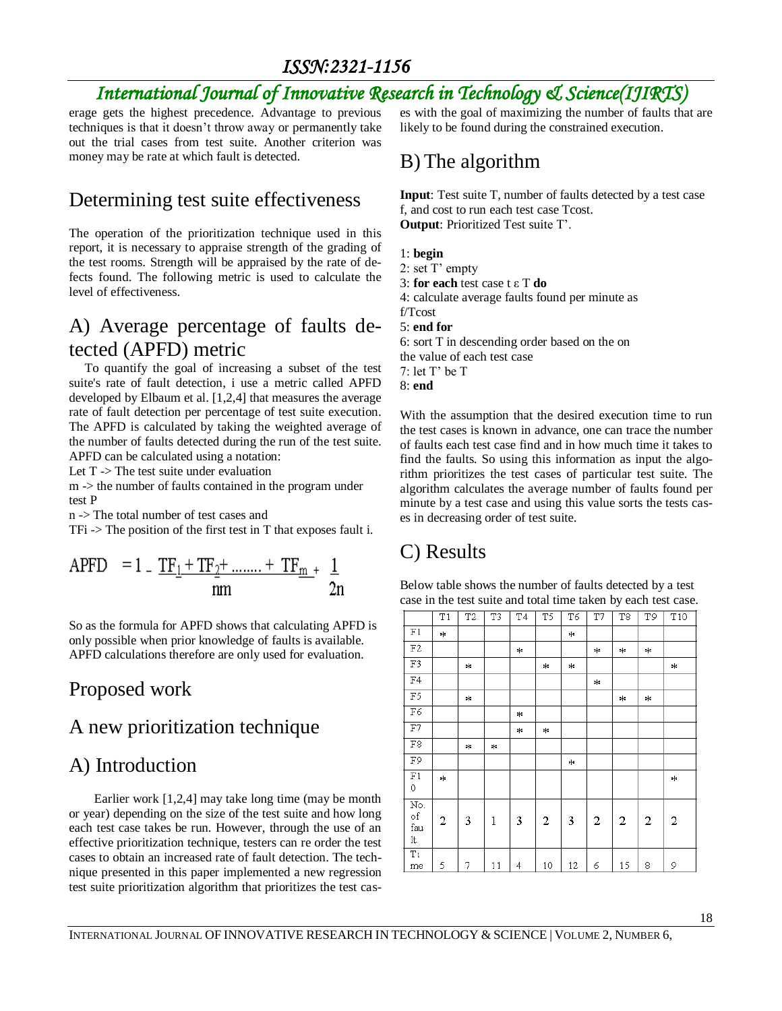### *ISSN:2321-1156*

# *International Journal of Innovative Research in Technology & Science(IJIRTS)*

erage gets the highest precedence. Advantage to previous techniques is that it doesn't throw away or permanently take out the trial cases from test suite. Another criterion was money may be rate at which fault is detected.

### Determining test suite effectiveness

The operation of the prioritization technique used in this report, it is necessary to appraise strength of the grading of the test rooms. Strength will be appraised by the rate of defects found. The following metric is used to calculate the level of effectiveness.

# A) Average percentage of faults detected (APFD) metric

 To quantify the goal of increasing a subset of the test suite's rate of fault detection, i use a metric called APFD developed by Elbaum et al. [1,2,4] that measures the average rate of fault detection per percentage of test suite execution. The APFD is calculated by taking the weighted average of the number of faults detected during the run of the test suite. APFD can be calculated using a notation:

Let T -> The test suite under evaluation

m -> the number of faults contained in the program under test P

n -> The total number of test cases and

 $TFi \rightarrow The position of the first test in T that exposes fault i.$ 

APFD = 1 - 
$$
\frac{TF_1 + TF_2 + \dots + TF_{m}}{nm} + \frac{1}{2n}
$$

So as the formula for APFD shows that calculating APFD is only possible when prior knowledge of faults is available. APFD calculations therefore are only used for evaluation.

# Proposed work

# A new prioritization technique

#### A) Introduction

 Earlier work [1,2,4] may take long time (may be month or year) depending on the size of the test suite and how long each test case takes be run. However, through the use of an effective prioritization technique, testers can re order the test cases to obtain an increased rate of fault detection. The technique presented in this paper implemented a new regression test suite prioritization algorithm that prioritizes the test cases with the goal of maximizing the number of faults that are likely to be found during the constrained execution.

#### B) The algorithm

**Input**: Test suite T, number of faults detected by a test case f, and cost to run each test case Tcost. **Output**: Prioritized Test suite T'.

- 1: **begin**
- 2: set T' empty
- 3: **for each** test case t ε T **do**
- 4: calculate average faults found per minute as

f/Tcost

5: **end for**

6: sort T in descending order based on the on the value of each test case 7: let T' be T 8: **end**

With the assumption that the desired execution time to run the test cases is known in advance, one can trace the number of faults each test case find and in how much time it takes to find the faults. So using this information as input the algorithm prioritizes the test cases of particular test suite. The algorithm calculates the average number of faults found per minute by a test case and using this value sorts the tests cases in decreasing order of test suite.

# C) Results

Below table shows the number of faults detected by a test case in the test suite and total time taken by each test case.

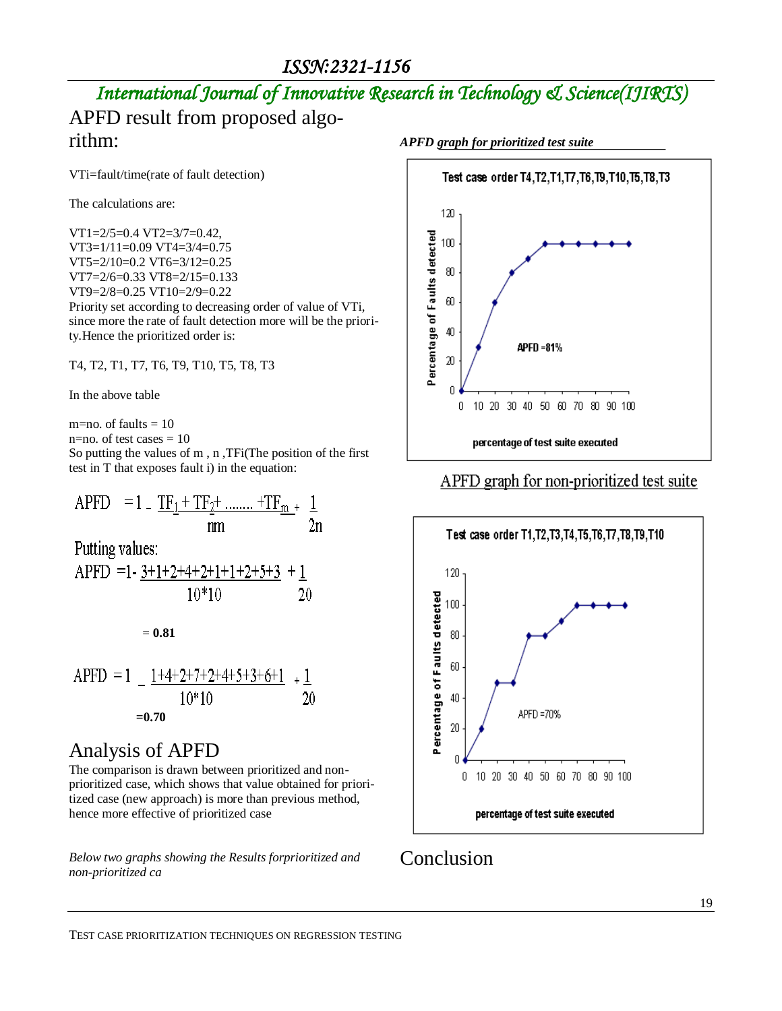# *International Journal of Innovative Research in Technology & Science(IJIRTS)*

# APFD result from proposed algorithm:

VTi=fault/time(rate of fault detection)

The calculations are:

VT1=2/5=0.4 VT2=3/7=0.42, VT3=1/11=0.09 VT4=3/4=0.75 VT5=2/10=0.2 VT6=3/12=0.25 VT7=2/6=0.33 VT8=2/15=0.133 VT9=2/8=0.25 VT10=2/9=0.22 Priority set according to decreasing order of value of VTi, since more the rate of fault detection more will be the priority.Hence the prioritized order is:

T4, T2, T1, T7, T6, T9, T10, T5, T8, T3

In the above table

m=no. of faults  $= 10$ 

n=no. of test cases  $= 10$ 

So putting the values of m , n ,TFi(The position of the first test in T that exposes fault i) in the equation:

APFD = 1 - 
$$
\frac{TF_1 + TF_2 + \dots + TF_m}{nm} + \frac{1}{2n}
$$

Putting values:

APFD =1- 
$$
\frac{3+1+2+4+2+1+1+2+5+3}{10*10} + \frac{1}{20}
$$

= **0.81**

APFD = 
$$
1 - \frac{1+4+2+7+2+4+5+3+6+1}{10*10} + \frac{1}{20}
$$
  
= 0.70

# Analysis of APFD

The comparison is drawn between prioritized and nonprioritized case, which shows that value obtained for prioritized case (new approach) is more than previous method, hence more effective of prioritized case

*Below two graphs showing the Results forprioritized and non-prioritized ca*





#### APFD graph for non-prioritized test suite



# Conclusion